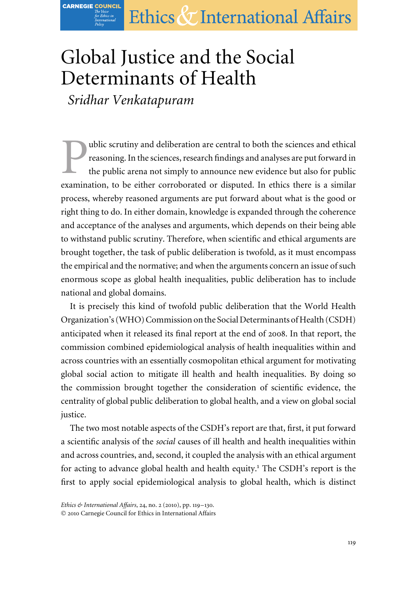## Ethics & International Affairs

# Global Justice and the Social Determinants of Health

*Sridhar Venkatapuram*

**CARNEGIE COUNCIL** 

whice scrutiny and deliberation are central to both the sciences and ethical<br>reasoning. In the sciences, research findings and analyses are put forward in<br>the public area not simply to announce new evidence but also for pu reasoning. In the sciences, research findings and analyses are put forward in the public arena not simply to announce new evidence but also for public examination, to be either corroborated or disputed. In ethics there is a similar process, whereby reasoned arguments are put forward about what is the good or right thing to do. In either domain, knowledge is expanded through the coherence and acceptance of the analyses and arguments, which depends on their being able to withstand public scrutiny. Therefore, when scientific and ethical arguments are brought together, the task of public deliberation is twofold, as it must encompass the empirical and the normative; and when the arguments concern an issue of such enormous scope as global health inequalities, public deliberation has to include national and global domains.

It is precisely this kind of twofold public deliberation that the World Health Organization's (WHO) Commission on the Social Determinants of Health (CSDH) anticipated when it released its final report at the end of 2008. In that report, the commission combined epidemiological analysis of health inequalities within and across countries with an essentially cosmopolitan ethical argument for motivating global social action to mitigate ill health and health inequalities. By doing so the commission brought together the consideration of scientific evidence, the centrality of global public deliberation to global health, and a view on global social justice.

The two most notable aspects of the CSDH's report are that, first, it put forward a scientific analysis of the *social* causes of ill health and health inequalities within and across countries, and, second, it coupled the analysis with an ethical argument for acting to advance global health and health equity.<sup>1</sup> The CSDH's report is the first to apply social epidemiological analysis to global health, which is distinct

*Ethics & International Affairs*, 24, no. 2 (2010), pp. 119–130. © 2010 Carnegie Council for Ethics in International Affairs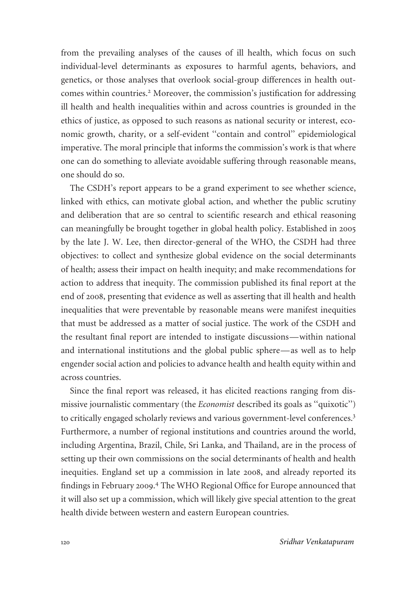from the prevailing analyses of the causes of ill health, which focus on such individual-level determinants as exposures to harmful agents, behaviors, and genetics, or those analyses that overlook social-group differences in health outcomes within countries.<sup>2</sup> Moreover, the commission's justification for addressing ill health and health inequalities within and across countries is grounded in the ethics of justice, as opposed to such reasons as national security or interest, economic growth, charity, or a self-evident ''contain and control'' epidemiological imperative. The moral principle that informs the commission's work is that where one can do something to alleviate avoidable suffering through reasonable means, one should do so.

The CSDH's report appears to be a grand experiment to see whether science, linked with ethics, can motivate global action, and whether the public scrutiny and deliberation that are so central to scientific research and ethical reasoning can meaningfully be brought together in global health policy. Established in 2005 by the late J. W. Lee, then director-general of the WHO, the CSDH had three objectives: to collect and synthesize global evidence on the social determinants of health; assess their impact on health inequity; and make recommendations for action to address that inequity. The commission published its final report at the end of 2008, presenting that evidence as well as asserting that ill health and health inequalities that were preventable by reasonable means were manifest inequities that must be addressed as a matter of social justice. The work of the CSDH and the resultant final report are intended to instigate discussions—within national and international institutions and the global public sphere—as well as to help engender social action and policies to advance health and health equity within and across countries.

Since the final report was released, it has elicited reactions ranging from dismissive journalistic commentary (the *Economist* described its goals as ''quixotic'') to critically engaged scholarly reviews and various government-level conferences.<sup>3</sup> Furthermore, a number of regional institutions and countries around the world, including Argentina, Brazil, Chile, Sri Lanka, and Thailand, are in the process of setting up their own commissions on the social determinants of health and health inequities. England set up a commission in late 2008, and already reported its findings in February 2009. <sup>4</sup> The WHO Regional Office for Europe announced that it will also set up a commission, which will likely give special attention to the great health divide between western and eastern European countries.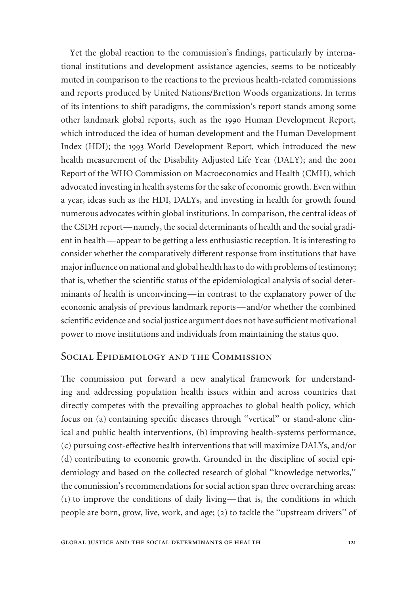Yet the global reaction to the commission's findings, particularly by international institutions and development assistance agencies, seems to be noticeably muted in comparison to the reactions to the previous health-related commissions and reports produced by United Nations/Bretton Woods organizations. In terms of its intentions to shift paradigms, the commission's report stands among some other landmark global reports, such as the 1990 Human Development Report, which introduced the idea of human development and the Human Development Index (HDI); the 1993 World Development Report, which introduced the new health measurement of the Disability Adjusted Life Year (DALY); and the 2001 Report of the WHO Commission on Macroeconomics and Health (CMH), which advocated investing in health systems for the sake of economic growth. Even within a year, ideas such as the HDI, DALYs, and investing in health for growth found numerous advocates within global institutions. In comparison, the central ideas of the CSDH report—namely, the social determinants of health and the social gradient in health—appear to be getting a less enthusiastic reception. It is interesting to consider whether the comparatively different response from institutions that have major influence on national and global health has to do with problems of testimony; that is, whether the scientific status of the epidemiological analysis of social determinants of health is unconvincing—in contrast to the explanatory power of the economic analysis of previous landmark reports—and/or whether the combined scientific evidence and social justice argument does not have sufficient motivational power to move institutions and individuals from maintaining the status quo.

### Social Epidemiology and the Commission

The commission put forward a new analytical framework for understanding and addressing population health issues within and across countries that directly competes with the prevailing approaches to global health policy, which focus on (a) containing specific diseases through ''vertical'' or stand-alone clinical and public health interventions, (b) improving health-systems performance, (c) pursuing cost-effective health interventions that will maximize DALYs, and/or (d) contributing to economic growth. Grounded in the discipline of social epidemiology and based on the collected research of global ''knowledge networks,'' the commission's recommendations for social action span three overarching areas: (1) to improve the conditions of daily living— that is, the conditions in which people are born, grow, live, work, and age; (2) to tackle the ''upstream drivers'' of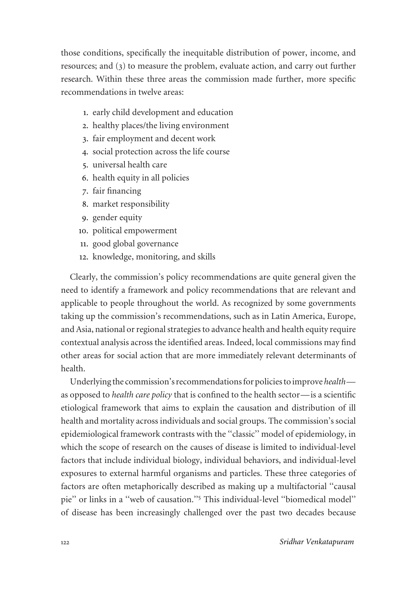those conditions, specifically the inequitable distribution of power, income, and resources; and (3) to measure the problem, evaluate action, and carry out further research. Within these three areas the commission made further, more specific recommendations in twelve areas:

- 1. early child development and education
- 2. healthy places/the living environment
- 3. fair employment and decent work
- 4. social protection across the life course
- 5. universal health care
- 6. health equity in all policies
- 7. fair financing
- 8. market responsibility
- 9. gender equity
- 10. political empowerment
- 11. good global governance
- 12. knowledge, monitoring, and skills

Clearly, the commission's policy recommendations are quite general given the need to identify a framework and policy recommendations that are relevant and applicable to people throughout the world. As recognized by some governments taking up the commission's recommendations, such as in Latin America, Europe, and Asia, national or regional strategies to advance health and health equity require contextual analysis across the identified areas. Indeed, local commissions may find other areas for social action that are more immediately relevant determinants of health.

Underlying the commission's recommendationsfor policies toimprove *health* as opposed to *health care policy* that is confined to the health sector—is a scientific etiological framework that aims to explain the causation and distribution of ill health and mortality across individuals and social groups. The commission's social epidemiological framework contrasts with the ''classic'' model of epidemiology, in which the scope of research on the causes of disease is limited to individual-level factors that include individual biology, individual behaviors, and individual-level exposures to external harmful organisms and particles. These three categories of factors are often metaphorically described as making up a multifactorial ''causal pie'' or links in a ''web of causation.''<sup>5</sup> This individual-level ''biomedical model'' of disease has been increasingly challenged over the past two decades because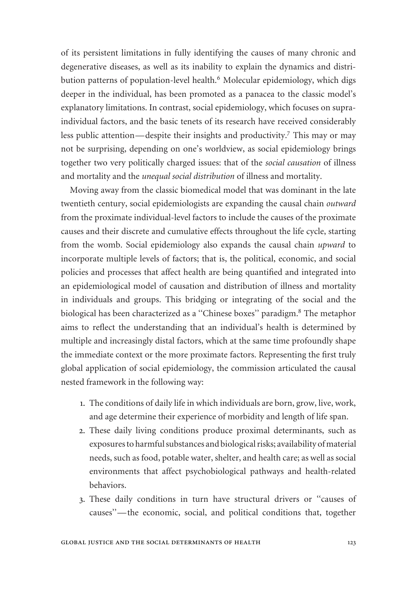of its persistent limitations in fully identifying the causes of many chronic and degenerative diseases, as well as its inability to explain the dynamics and distribution patterns of population-level health.<sup>6</sup> Molecular epidemiology, which digs deeper in the individual, has been promoted as a panacea to the classic model's explanatory limitations. In contrast, social epidemiology, which focuses on supraindividual factors, and the basic tenets of its research have received considerably less public attention—despite their insights and productivity.<sup>7</sup> This may or may not be surprising, depending on one's worldview, as social epidemiology brings together two very politically charged issues: that of the *social causation* of illness and mortality and the *unequal social distribution* of illness and mortality.

Moving away from the classic biomedical model that was dominant in the late twentieth century, social epidemiologists are expanding the causal chain *outward* from the proximate individual-level factors to include the causes of the proximate causes and their discrete and cumulative effects throughout the life cycle, starting from the womb. Social epidemiology also expands the causal chain *upward* to incorporate multiple levels of factors; that is, the political, economic, and social policies and processes that affect health are being quantified and integrated into an epidemiological model of causation and distribution of illness and mortality in individuals and groups. This bridging or integrating of the social and the biological has been characterized as a "Chinese boxes" paradigm.<sup>8</sup> The metaphor aims to reflect the understanding that an individual's health is determined by multiple and increasingly distal factors, which at the same time profoundly shape the immediate context or the more proximate factors. Representing the first truly global application of social epidemiology, the commission articulated the causal nested framework in the following way:

- 1. The conditions of daily life in which individuals are born, grow, live, work, and age determine their experience of morbidity and length of life span.
- 2. These daily living conditions produce proximal determinants, such as exposures to harmful substances and biological risks; availability of material needs, such as food, potable water, shelter, and health care; as well as social environments that affect psychobiological pathways and health-related behaviors.
- 3. These daily conditions in turn have structural drivers or ''causes of causes''— the economic, social, and political conditions that, together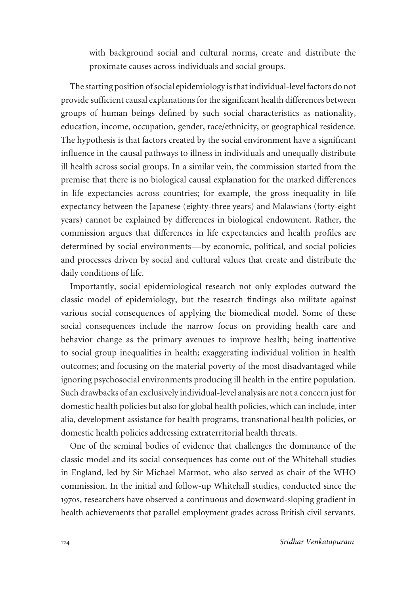with background social and cultural norms, create and distribute the proximate causes across individuals and social groups.

The starting position of social epidemiology is that individual-level factors do not provide sufficient causal explanations for the significant health differences between groups of human beings defined by such social characteristics as nationality, education, income, occupation, gender, race/ethnicity, or geographical residence. The hypothesis is that factors created by the social environment have a significant influence in the causal pathways to illness in individuals and unequally distribute ill health across social groups. In a similar vein, the commission started from the premise that there is no biological causal explanation for the marked differences in life expectancies across countries; for example, the gross inequality in life expectancy between the Japanese (eighty-three years) and Malawians (forty-eight years) cannot be explained by differences in biological endowment. Rather, the commission argues that differences in life expectancies and health profiles are determined by social environments—by economic, political, and social policies and processes driven by social and cultural values that create and distribute the daily conditions of life.

Importantly, social epidemiological research not only explodes outward the classic model of epidemiology, but the research findings also militate against various social consequences of applying the biomedical model. Some of these social consequences include the narrow focus on providing health care and behavior change as the primary avenues to improve health; being inattentive to social group inequalities in health; exaggerating individual volition in health outcomes; and focusing on the material poverty of the most disadvantaged while ignoring psychosocial environments producing ill health in the entire population. Such drawbacks of an exclusively individual-level analysis are not a concern just for domestic health policies but also for global health policies, which can include, inter alia, development assistance for health programs, transnational health policies, or domestic health policies addressing extraterritorial health threats.

One of the seminal bodies of evidence that challenges the dominance of the classic model and its social consequences has come out of the Whitehall studies in England, led by Sir Michael Marmot, who also served as chair of the WHO commission. In the initial and follow-up Whitehall studies, conducted since the 1970s, researchers have observed a continuous and downward-sloping gradient in health achievements that parallel employment grades across British civil servants.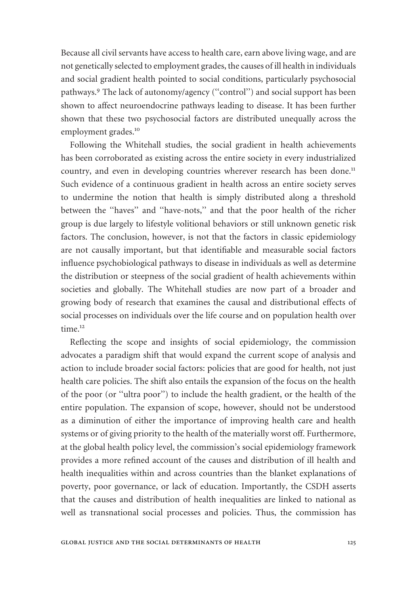Because all civil servants have access to health care, earn above living wage, and are not genetically selected to employment grades, the causes of ill health in individuals and social gradient health pointed to social conditions, particularly psychosocial pathways.<sup>9</sup> The lack of autonomy/agency (''control'') and social support has been shown to affect neuroendocrine pathways leading to disease. It has been further shown that these two psychosocial factors are distributed unequally across the employment grades.<sup>10</sup>

Following the Whitehall studies, the social gradient in health achievements has been corroborated as existing across the entire society in every industrialized country, and even in developing countries wherever research has been done.<sup>11</sup> Such evidence of a continuous gradient in health across an entire society serves to undermine the notion that health is simply distributed along a threshold between the ''haves'' and ''have-nots,'' and that the poor health of the richer group is due largely to lifestyle volitional behaviors or still unknown genetic risk factors. The conclusion, however, is not that the factors in classic epidemiology are not causally important, but that identifiable and measurable social factors influence psychobiological pathways to disease in individuals as well as determine the distribution or steepness of the social gradient of health achievements within societies and globally. The Whitehall studies are now part of a broader and growing body of research that examines the causal and distributional effects of social processes on individuals over the life course and on population health over time.<sup>12</sup>

Reflecting the scope and insights of social epidemiology, the commission advocates a paradigm shift that would expand the current scope of analysis and action to include broader social factors: policies that are good for health, not just health care policies. The shift also entails the expansion of the focus on the health of the poor (or ''ultra poor'') to include the health gradient, or the health of the entire population. The expansion of scope, however, should not be understood as a diminution of either the importance of improving health care and health systems or of giving priority to the health of the materially worst off. Furthermore, at the global health policy level, the commission's social epidemiology framework provides a more refined account of the causes and distribution of ill health and health inequalities within and across countries than the blanket explanations of poverty, poor governance, or lack of education. Importantly, the CSDH asserts that the causes and distribution of health inequalities are linked to national as well as transnational social processes and policies. Thus, the commission has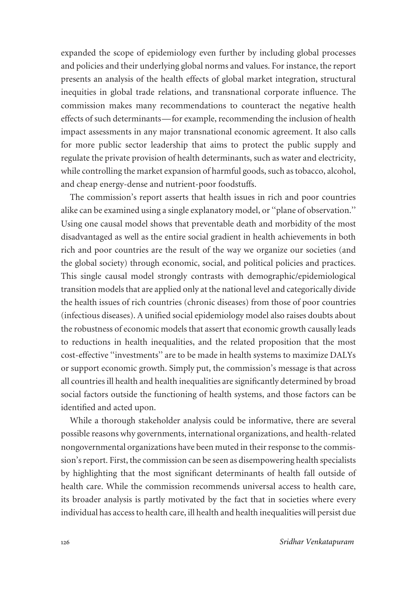expanded the scope of epidemiology even further by including global processes and policies and their underlying global norms and values. For instance, the report presents an analysis of the health effects of global market integration, structural inequities in global trade relations, and transnational corporate influence. The commission makes many recommendations to counteract the negative health effects of such determinants—for example, recommending the inclusion of health impact assessments in any major transnational economic agreement. It also calls for more public sector leadership that aims to protect the public supply and regulate the private provision of health determinants, such as water and electricity, while controlling the market expansion of harmful goods, such as tobacco, alcohol, and cheap energy-dense and nutrient-poor foodstuffs.

The commission's report asserts that health issues in rich and poor countries alike can be examined using a single explanatory model, or ''plane of observation.'' Using one causal model shows that preventable death and morbidity of the most disadvantaged as well as the entire social gradient in health achievements in both rich and poor countries are the result of the way we organize our societies (and the global society) through economic, social, and political policies and practices. This single causal model strongly contrasts with demographic/epidemiological transition models that are applied only at the national level and categorically divide the health issues of rich countries (chronic diseases) from those of poor countries (infectious diseases). A unified social epidemiology model also raises doubts about the robustness of economic models that assert that economic growth causally leads to reductions in health inequalities, and the related proposition that the most cost-effective ''investments'' are to be made in health systems to maximize DALYs or support economic growth. Simply put, the commission's message is that across all countries ill health and health inequalities are significantly determined by broad social factors outside the functioning of health systems, and those factors can be identified and acted upon.

While a thorough stakeholder analysis could be informative, there are several possible reasons why governments, international organizations, and health-related nongovernmental organizations have been muted in their response to the commission's report. First, the commission can be seen as disempowering health specialists by highlighting that the most significant determinants of health fall outside of health care. While the commission recommends universal access to health care, its broader analysis is partly motivated by the fact that in societies where every individual has access to health care, ill health and health inequalities will persist due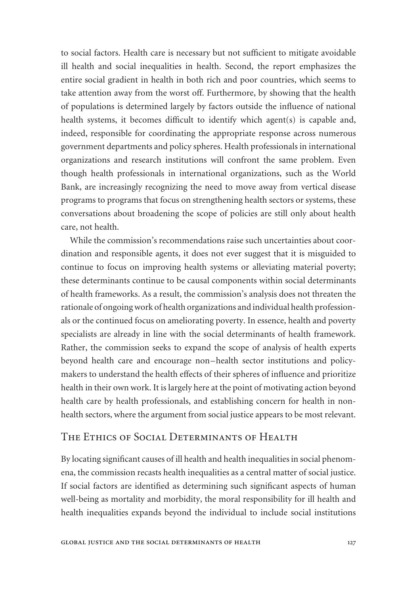to social factors. Health care is necessary but not sufficient to mitigate avoidable ill health and social inequalities in health. Second, the report emphasizes the entire social gradient in health in both rich and poor countries, which seems to take attention away from the worst off. Furthermore, by showing that the health of populations is determined largely by factors outside the influence of national health systems, it becomes difficult to identify which agent(s) is capable and, indeed, responsible for coordinating the appropriate response across numerous government departments and policy spheres. Health professionals in international organizations and research institutions will confront the same problem. Even though health professionals in international organizations, such as the World Bank, are increasingly recognizing the need to move away from vertical disease programs to programs that focus on strengthening health sectors or systems, these conversations about broadening the scope of policies are still only about health care, not health.

While the commission's recommendations raise such uncertainties about coordination and responsible agents, it does not ever suggest that it is misguided to continue to focus on improving health systems or alleviating material poverty; these determinants continue to be causal components within social determinants of health frameworks. As a result, the commission's analysis does not threaten the rationale of ongoing work of health organizations and individual health professionals or the continued focus on ameliorating poverty. In essence, health and poverty specialists are already in line with the social determinants of health framework. Rather, the commission seeks to expand the scope of analysis of health experts beyond health care and encourage non–health sector institutions and policymakers to understand the health effects of their spheres of influence and prioritize health in their own work. It is largely here at the point of motivating action beyond health care by health professionals, and establishing concern for health in nonhealth sectors, where the argument from social justice appears to be most relevant.

### The Ethics of Social Determinants of Health

By locating significant causes of ill health and health inequalities in social phenomena, the commission recasts health inequalities as a central matter of social justice. If social factors are identified as determining such significant aspects of human well-being as mortality and morbidity, the moral responsibility for ill health and health inequalities expands beyond the individual to include social institutions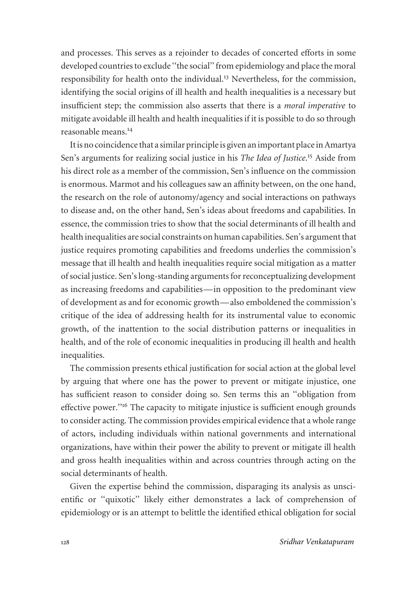and processes. This serves as a rejoinder to decades of concerted efforts in some developed countries to exclude ''the social'' from epidemiology and place the moral responsibility for health onto the individual.<sup>13</sup> Nevertheless, for the commission, identifying the social origins of ill health and health inequalities is a necessary but insufficient step; the commission also asserts that there is a *moral imperative* to mitigate avoidable ill health and health inequalities if it is possible to do so through reasonable means.<sup>14</sup>

It is no coincidence that a similar principle is given an important place in Amartya Sen's arguments for realizing social justice in his *The Idea of Justice*. <sup>15</sup> Aside from his direct role as a member of the commission, Sen's influence on the commission is enormous. Marmot and his colleagues saw an affinity between, on the one hand, the research on the role of autonomy/agency and social interactions on pathways to disease and, on the other hand, Sen's ideas about freedoms and capabilities. In essence, the commission tries to show that the social determinants of ill health and health inequalities are social constraints on human capabilities. Sen's argument that justice requires promoting capabilities and freedoms underlies the commission's message that ill health and health inequalities require social mitigation as a matter of social justice. Sen's long-standing arguments for reconceptualizing development as increasing freedoms and capabilities—in opposition to the predominant view of development as and for economic growth—also emboldened the commission's critique of the idea of addressing health for its instrumental value to economic growth, of the inattention to the social distribution patterns or inequalities in health, and of the role of economic inequalities in producing ill health and health inequalities.

The commission presents ethical justification for social action at the global level by arguing that where one has the power to prevent or mitigate injustice, one has sufficient reason to consider doing so. Sen terms this an ''obligation from effective power."<sup>16</sup> The capacity to mitigate injustice is sufficient enough grounds to consider acting. The commission provides empirical evidence that a whole range of actors, including individuals within national governments and international organizations, have within their power the ability to prevent or mitigate ill health and gross health inequalities within and across countries through acting on the social determinants of health.

Given the expertise behind the commission, disparaging its analysis as unscientific or ''quixotic'' likely either demonstrates a lack of comprehension of epidemiology or is an attempt to belittle the identified ethical obligation for social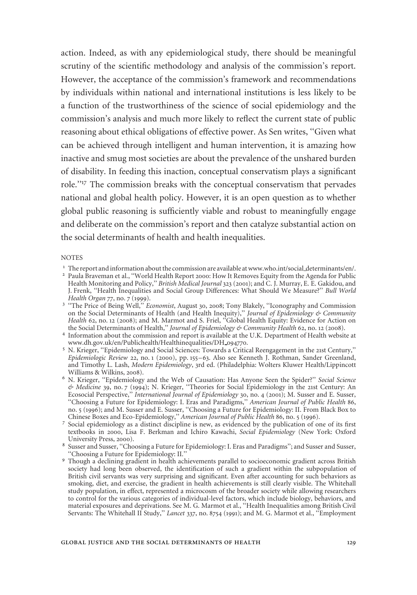action. Indeed, as with any epidemiological study, there should be meaningful scrutiny of the scientific methodology and analysis of the commission's report. However, the acceptance of the commission's framework and recommendations by individuals within national and international institutions is less likely to be a function of the trustworthiness of the science of social epidemiology and the commission's analysis and much more likely to reflect the current state of public reasoning about ethical obligations of effective power. As Sen writes, ''Given what can be achieved through intelligent and human intervention, it is amazing how inactive and smug most societies are about the prevalence of the unshared burden of disability. In feeding this inaction, conceptual conservatism plays a significant role.''<sup>17</sup> The commission breaks with the conceptual conservatism that pervades national and global health policy. However, it is an open question as to whether global public reasoning is sufficiently viable and robust to meaningfully engage and deliberate on the commission's report and then catalyze substantial action on the social determinants of health and health inequalities.

#### **NOTES**

- <sup>1</sup> The report and information about the commission are available at www.who.int/social determinants/en/. <sup>2</sup> Paula Braveman et al., ''World Health Report <sup>2000</sup>: How It Removes Equity from the Agenda for Public
- Health Monitoring and Policy,'' *British Medical Journal* 323 (2001); and C. J. Murray, E. E. Gakidou, and J. Frenk, ''Health Inequalities and Social Group Differences: What Should We Measure?'' *Bull World Health Organ* <sup>77</sup>, no. <sup>7</sup> (1999). <sup>3</sup> ''The Price of Being Well,'' *Economist*, August <sup>30</sup>, <sup>2008</sup>; Tony Blakely, ''Iconography and Commission
- on the Social Determinants of Health (and Health Inequity),'' *Journal of Epidemiology & Community Health* 62, no. 12 (2008); and M. Marmot and S. Friel, ''Global Health Equity: Evidence for Action on
- the Social Determinants of Health,'' *Journal of Epidemiology & Community Health* 62, no. 12 (2008).<br>4 Information about the commission and report is available at the U.K. Department of Health website at www.dh.gov.uk/en/P
- <sup>5</sup> N. Krieger, "Epidemiology and Social Sciences: Towards a Critical Reengagement in the 21st Century," *Epidemiologic Review* 22, no. 1 (2000), pp. 155–63. Also see Kenneth J. Rothman, Sander Greenland, and Timothy L. Lash, *Modern Epidemiology*, 3rd ed. (Philadelphia: Wolters Kluwer Health/Lippincott
- <sup>6</sup> N. Krieger, "Epidemiology and the Web of Causation: Has Anyone Seen the Spider?" *Social Science & Medicine* 39, no. 7 (1994); N. Krieger, ''Theories for Social Epidemiology in the 21st Century: An Ecosocial Perspective,'' *International Journal of Epidemiology* 30, no. 4 (2001); M. Susser and E. Susser, ''Choosing a Future for Epidemiology: I. Eras and Paradigms,'' *American Journal of Public Health* 86, no. 5 (1996); and M. Susser and E. Susser, ''Choosing a Future for Epidemiology: II. From Black Box to Chinese Boxes and Eco-Epidemiology,<sup>''</sup> *American Journal of Public Health* 86, no. 5 (1996).<br><sup>7</sup> Social epidemiology as a distinct discipline is new, as evidenced by the publication of one of its first<sup>7</sup>
- textbooks in 2000, Lisa F. Berkman and Ichiro Kawachi, *Social Epidemiology* (New York: Oxford
- 8 Susser and Susser, "Choosing a Future for Epidemiology: I. Eras and Paradigms"; and Susser and Susser, ''Choosing a Future for Epidemiology: II.'' <sup>9</sup> Though a declining gradient in health achievements parallel to socioeconomic gradient across British
- society had long been observed, the identification of such a gradient within the subpopulation of British civil servants was very surprising and significant. Even after accounting for such behaviors as smoking, diet, and exercise, the gradient in health achievements is still clearly visible. The Whitehall study population, in effect, represented a microcosm of the broader society while allowing researchers to control for the various categories of individual-level factors, which include biology, behaviors, and material exposures and deprivations. See M. G. Marmot et al., ''Health Inequalities among British Civil Servants: The Whitehall II Study,'' *Lancet* 337, no. 8754 (1991); and M. G. Marmot et al., ''Employment